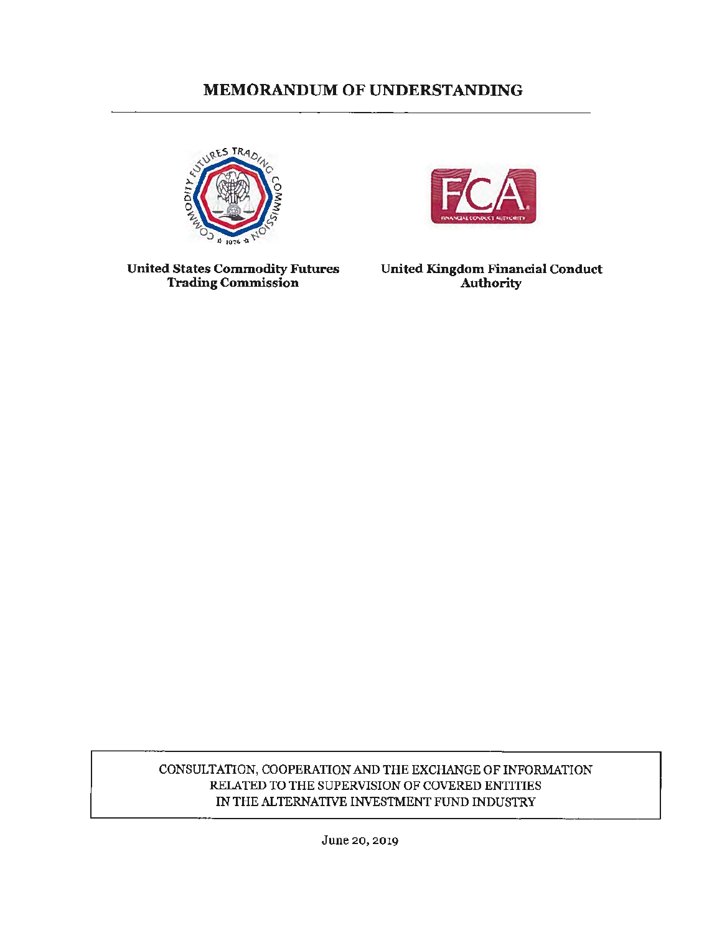# **MEMORANDUM OF UNDERSTANDING**





**United States Commodity Futures Trading Commission** 

**United Kingdom Financial Conduct Authority** 

CONSULTATION, COOPERATION AND THE EXCHANGE OF INFORMATION RELATED TO THE SUPERVISION OF COVERED ENTITIES IN THE ALTERNATIVE INVESTMENT FUND INDUSTRY

June 20, 2019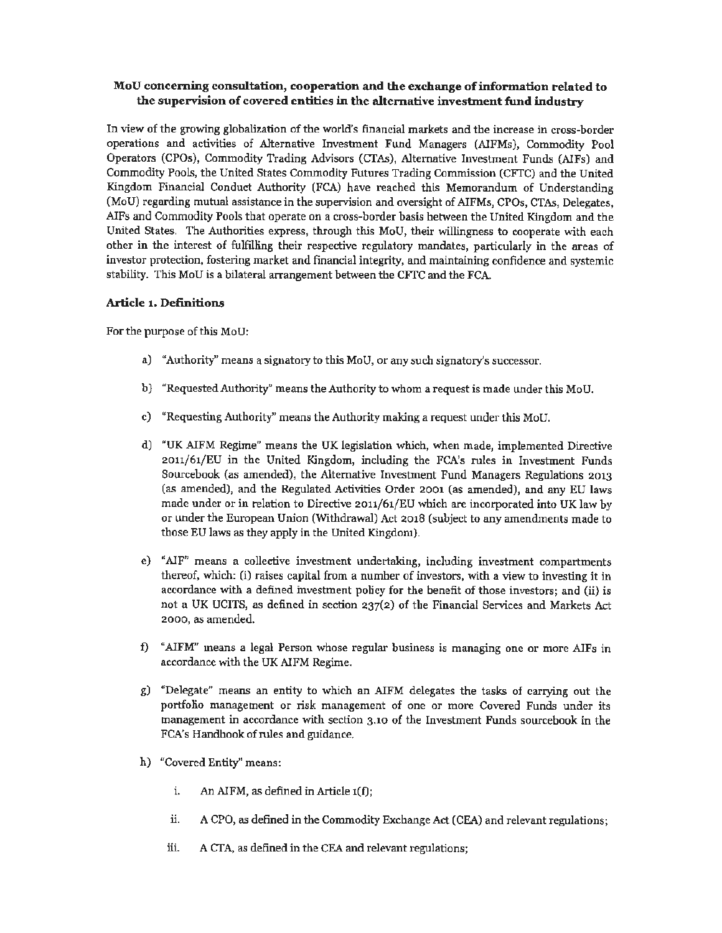## **Mou concerning consultation, cooperation and the exchange of information related to the supervision of covered entities** in **the alternative invesbnent fund industry**

In view of the growing globalization of the world's financial markets and the increase in cross-border operations and activities of Alternative Investment Fund Managers (AIFMs), Commodity Pool Operators (CPOs), Commodity Trading Advisors (CTAs), Alternative Investment Funds (AIFs) and Commodity Pools, the United States Commodity Futures Trading Commission (CFTC) and the United Kingdom Financial Conduct Authority (FCA) have reached this Memorandum of Understanding (MoU) regarding mutual assistance in the supervision and oversight of AIFMs, CPOs, CTAs, Delegates, AIFs and Commodity Pools that operate on a cross-border basis between the United Kingdom and the United States. The Authorities express, through this MoU, their willingness to cooperate with each other in the interest of fulfilling their respective regulatory mandates, particularly in the areas of investor protection, fostering market and financial integrity, and maintaining confidence and systemic stability. This MoU is a bilateral arrangement between the CFTC and the FCA.

## **Article 1. Definitions**

For the purpose of this MoU:

- a) "Authority" means a signatory to this MoU, or any such signatory's successor.
- b) "Requested Authority" means the Authority to whom a request is made under this MoU.
- c) "Requesting Authority" means the Authority making a request under this MoU.
- d) "UK AIFM Regime" means the UK legislation which, when made, implemented Directive 2011/61/EU in the United Kingdom, including the FCA's rules in Investment Funds Sourcebook (as amended), the Alternative Investment Fund Managers Regulations 2013 (as amended), and the Regulated Activities Order 2001 (as amended), and any EU laws made under or in relation to Directive 2011/61/EU which are incorporated into UK law by or under the European Union (Withdrawal) Act 2018 (subject to any amendments made to those EU laws as they apply in the United Kingdom).
- e) "AIF" means a collective investment undertaking, including investment compartments thereof, which: (i) raises capital from a number of investors, with a view to investing it in accordance with a defined investment policy for the benefit of those investors; and (ii) is not a UK UCITS, as defined in section 237(2) of the Financial Services and Markets Act 2000, as amended.
- f) "AIFM'' means a legal Person whose regular business is managing one or more AIFs in accordance with the UK AIFM Regime.
- g) "Delegate" means an entity to which an AIFM delegates the tasks of carrying out the portfolio management or risk management of one or more Covered Funds under its management in accordance with section 3.10 of the Investment Funds sourcebook in the FCA's Handbook of rules and guidance.
- h) "Covered Entity" means:
	- i. An AIFM, as defined in Article 1(f);
	- ii. A CPO, as defined in the Commodity Exchange Act (CEA) and relevant regulations;
	- iii. ACTA, as defined in the CEA and relevant regulations;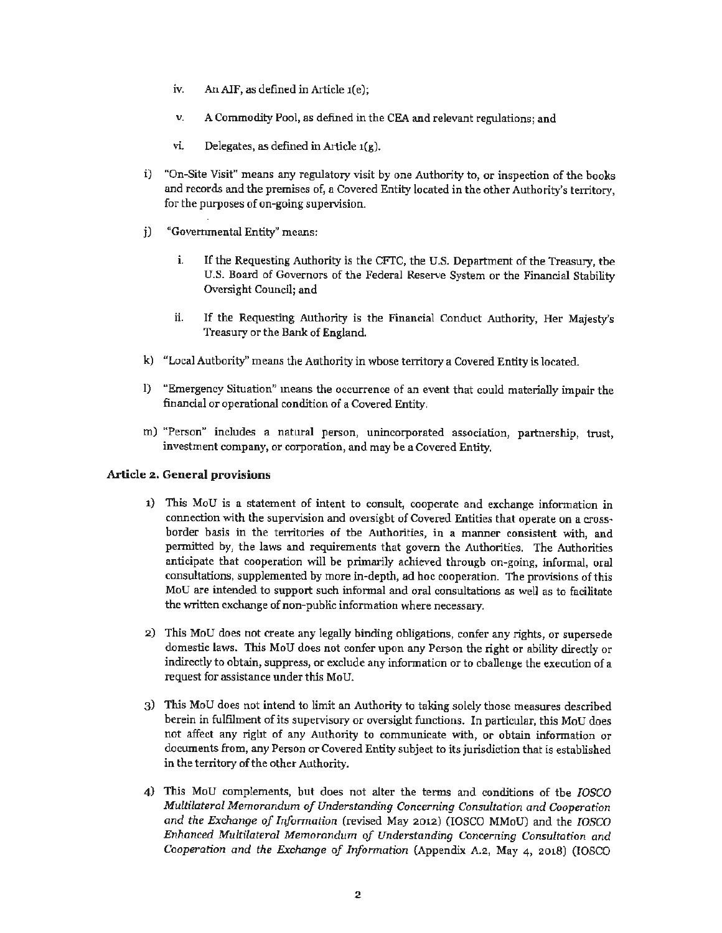- iv. An AIF, as defined in Article 1(e);
- v. A Commodity Pool, as defined in the CEA and relevant regulations; and
- vi. Delegates, as defined in Article  $1(g)$ .
- i) "On-Site Visit" means any regulatory visit by one Authority to, or inspection of the books and records and the premises of, a Covered Entity located in the other Authority's territory, for the purposes of on-going supervision.
- j) "Governmental Entity" means:
	- i. If the Requesting Authority is the CFTC, the U.S. Department of the Treasury, the U.S. Board of Governors of the Federal Reserve System or the Financial Stability Oversight Council; and
	- ii. If the Requesting Authority is the Financial Conduct Authority, Her Majesty's Treasury or the Bank of England.
- k) "Local Authority" means the Authority in whose territory a Covered Entity is located.
- 1) "Emergency Situation" means the occurrence of an event that could materially impair the financial or operational condition of a Covered Entity.
- m) "Person" includes a natural person, unincorporated association, partnership, trust, investment company, or corporation, and may be a Covered Entity.

## **Article 2. General provisions**

- 1) This MoU is a statement of intent to consult, cooperate and exchange information in connection with the supervision and oversight of Covered Entities that operate on a crossborder basis in the territories of the Authorities, in a manner consistent with, and permitted by, the laws and requirements that govern the Authorities. The Authorities anticipate that cooperation will be primarily achieved through on-going, informal, oral consultations, supplemented by more in-depth, ad hoc cooperation. The provisions of this MoU are intended to support such informal and oral consultations as well as to facilitate the written exchange of non-public information where necessary.
- 2) This MoU does not create any legally binding obligations, confer any rights, or supersede domestic laws. This MoU does not confer upon any Person the right or ability directly or indirectly to obtain, suppress, or exclude any information or to challenge the execution of a request for assistance under this MoU.
- 3) This MoU does not intend to limit an Authority to taking solely those measures described herein in fulfilment of its supervisory or oversight functions. In particular, this MoU does not affect any right of any Authority to communicate with, or obtain information or documents from, any Person or Covered Entity subject to its jurisdiction that is established in the territory of the other Authority.
- 4) This MoU complements, but does not alter the terms and conditions of the *IOSCO Multilateral Memorandum of Understanding Concerning Consultation and Cooperation and the Exchange of Irifonnation* (revised May 2012) (IOSCO MMoU) and the *IOSCO Enhanced Multilateral Memorandum of Understanding Concerning Consultation and Cooperation and the Exchange of Information* {Appendix A.2, May 4, 2018) (IOSCO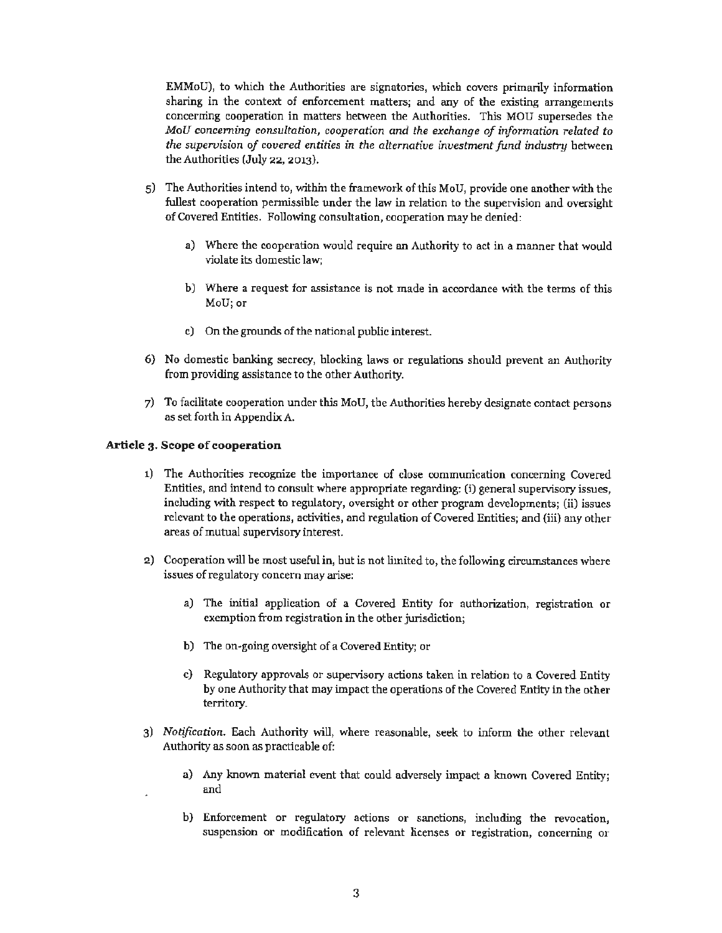EMMoU), to which the Authorities are signatories, which covers primarily information sharing in the context of enforcement matters; and any of the existing arrangements concerning cooperation in matters between the Authorities. This MOU supersedes the *MoU concerning consultation, cooperation and the exchange of information related to the supervision of covered entities in the alternative investment fund industry between* the Authorities (July 22, 2013).

- 5) The Authorities intend to, within the framework of this MoU, provide one another with the fullest cooperation pennissible under the law in relation to the supervision and oversight of Covered Entities. Following consultation, cooperation may be denied:
	- a) Where the cooperation would require an Authority to act in a manner that would violate its domestic law;
	- b) Where a request for assistance is not made **in** accordance with the terms of this MoU; or
	- c) On the grounds of the national public interest.
- 6) No domestic banking secrecy, blocking laws or regulations should prevent an Authority from providing assistance to the other Authority.
- 7) To facilitate cooperation under this MoU, the Authorities hereby designate contact persons as set forth in Appendix A.

#### **Article 3. Scope of cooperation**

- 1) The Authorities recognize the importance of close communication concerning Covered Entities, and intend to consult where appropriate regarding: (i) general supervisory issues, including with respect to regulatory, oversight or other program developments; (ii) issues relevant to the operations, activities, and regulation of Covered Entities; and (iii) any other areas of mutual supervisory interest.
- 2) Cooperation will be most useful in, but is not limited to, the following circumstances where issues of regulatory concern may arise:
	- a) The initial application of a Covered Entity for authorization, registration or exemption from registration in the other jurisdiction;
	- **b)** The on-going oversight of a Covered Entity; or
	- c) Regulatory approvals or supervisory actions taken in relation to a Covered Entity by one Authority that may impact the operations of the Covered Entity in the other territory.
- 3) *Notification.* Each Authority will, where reasonable, seek to inform the other relevant Authority as soon as practicable of:
	- a) Any known material event that could adversely impact a known Covered Entity; and
	- b) Enforcement or regulatory actions or sanctions, including the revocation, suspension or modification of relevant licenses or registration, concerning or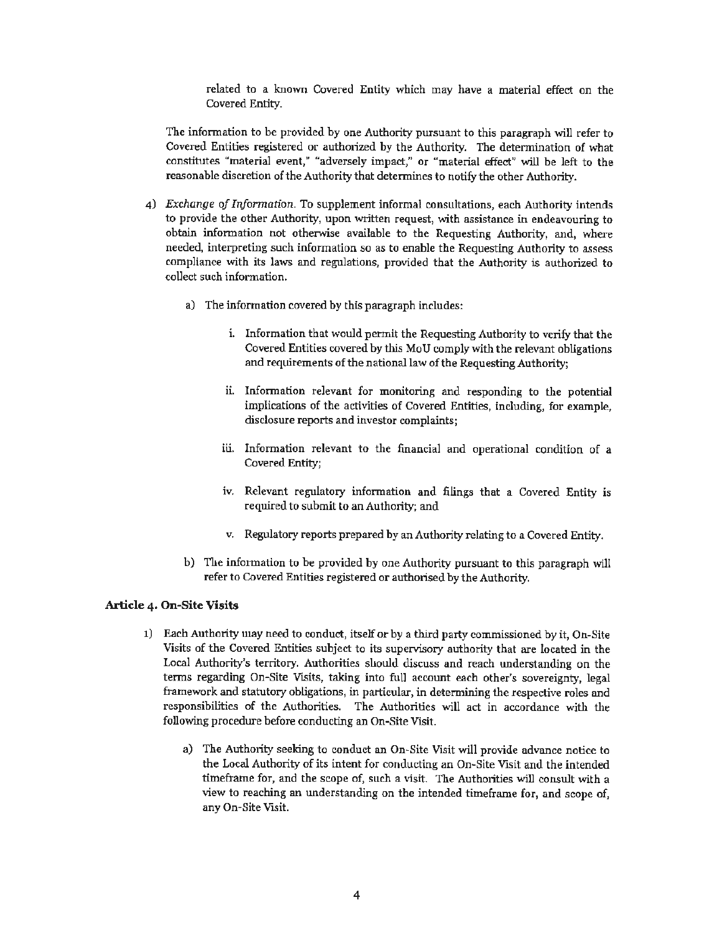related to a known Covered Entity which may have a material effect on the Covered Entity.

The information to be provided by one Authority pursuant to this paragraph will refer to Covered Entities registered or authorized by the Authority. The determination of what constitutes "material event," "adversely impact," or "material effect" will be left to the reasonable discretion of the Authority that determines to notify the other Authority.

- 4) *Exchange of Information.* To supplement informal consultations, each Authority intends to provide the other Authority, upon written request, with assistance in endeavouring to obtain information not otherwise available to the Requesting Authority, and, where needed, interpreting such information so as to enable the Requesting Authority to assess compliance with its laws and regulations, provided that the Authority is authorized to collect such information.
	- a) The information covered by this paragraph includes:
		- i. Information that would permit the Requesting Authority to verify that the Covered Entities covered by this MoU comply with the relevant obligations and requirements of the national law of the Requesting Authority;
		- ii. Information relevant for monitoring and responding to the potential implications of the activities of Covered Entities, including, for example, disclosure reports and investor complaints;
		- iii. Information relevant to the financial and operational condition of a Covered Entity;
		- iv. Relevant regulatory information and filings that a Covered Entity is required to submit to an Authority; and
		- v. Regulatory reports prepared by an Authority relating to a Covered Entity.
	- b) The information to be provided by one Authority pursuant to **this** paragraph will refer to Covered Entities registered or authorised by the Authority.

## **Article 4. On-Site Visits**

- 1) Each Authority may need to conduct, itself or by a third party commissioned by it, On-Site Visits of the Covered Entities subject to its supervisory authority that are located in the Local Authority's territory. Authorities should discuss and reach understanding on the terms regarding On-Site Visits, taking into full account each other's sovereignty, legal framework and statutory obligations, in particular, in determining the respective roles and responsibilities of the Authorities. The Authorities will act in accordance with the following procedure before conducting an On-Site Visit.
	- a) The Authority seeking to conduct an On-Site Visit will provide advance notice to the Local Authority of its intent for conducting an On-Site Visit and the intended timeframe for, and the scope of, such a visit. The Authorities will consult with a view to reaching an understanding on the intended timeframe for, and scope of, any On-Site Visit.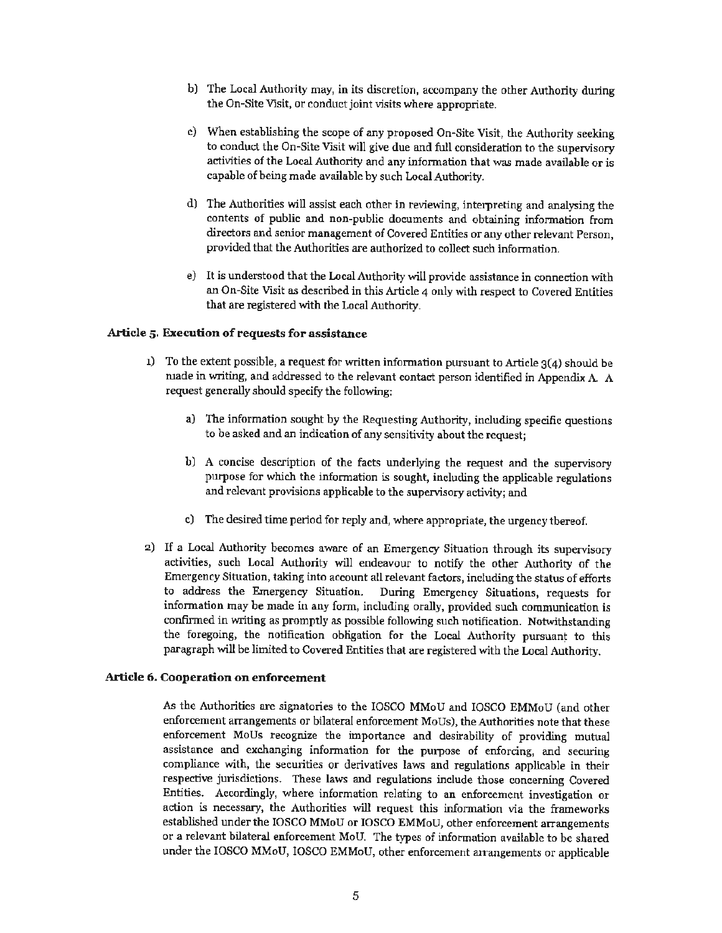- b) The Local Authority may, in its discretion, accompany the other Authority during the On-Site Visit, or conduct joint visits where appropriate.
- c) When establishing the scope of any proposed On-Site Visit, the Authority seeking to conduct the On-Site Visit will give due and full consideration to the supervisory activities of the Local Authority and any information that was made available or is capable of being made available by such Local Authority.
- d) The Authorities will assist each other in reviewing, interpreting and analysing the contents of public and non-public documents and obtaining information from directors and senior management of Covered Entities or any other relevant Person, provided that the Authorities are authorized to collect such information.
- e) It is understood that the Local Authority will provide assistance in connection with an On-Site Visit as described in this Article 4 only with respect to Covered Entities that are registered with the Local Authority.

## **Article** 5. **Execution of requests for assistance**

- 1) To the extent possible, a request for written information pursuant to Article  $3(4)$  should be made in writing, and addressed to the relevant contact person identified in Appendix A. A request generally should specify the following:
	- a) The information sought by the Requesting Authority, including specific questions to be asked and an indication of any sensitivity about the request;
	- b) A concise description of the facts underlying the request and the supervisory purpose for which the information is sought, including the applicable regulations and relevant provisions applicable to the supervisory activity; and
	- c) The desired time period for reply and, where appropriate, the urgency thereof.
- 2) If a Local Authority becomes aware of an Emergency Situation through its supervisory activities, such Local Authority will endeavour to notify the other Authority of the Emergency Situation, taking into account all relevant factors, including the status of efforts to address the Emergency Situation. During Emergency Situations, requests for information may be made in any form, including orally, provided such communication is confirmed in writing as promptly as possible following such notification. Notwithstanding the foregoing, the notification obligation for the Local Authority pursuant to this paragraph will be limited to Covered Entities that are registered with the Local Authority.

## **Article 6. Cooperation on enforcement**

As the Authorities are signatories to the IOSCO MMoU and IOSCO EMMoU (and other enforcement arrangements or bilateral enforcement MoUs), the Authorities note that these enforcement MoUs recognize the importance and desirability of providing mutual assistance and exchanging information for the purpose of enforcing, and securing compliance with, the securities or derivatives laws and regulations applicable in their respective jurisdictions. These laws and regulations include those concerning Covered Entities. Accordingly, where information relating to an enforcement investigation or action is necessary, the Authorities will request this information via the frameworks established under the IOSCO MMoU or IOSCO EMMoU, other enforcement arrangements or a relevant bilateral enforcement MoU. The types of information available to be shared under the IOSCO MMoU, IOSCO EMMoU, other enforcement arrangements or applicable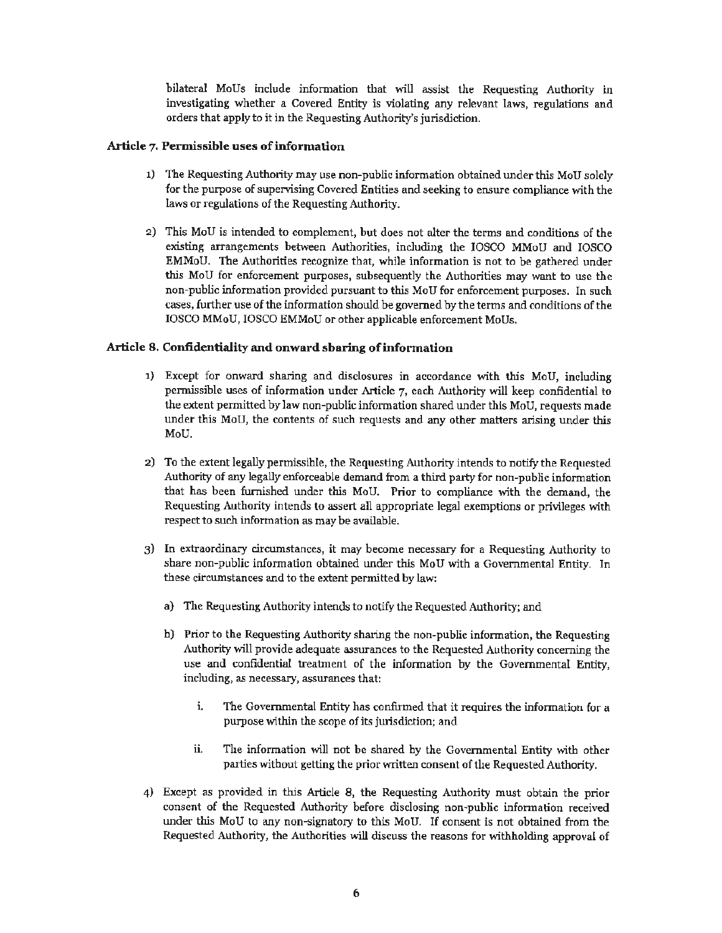bilateral MoUs include information that will assist the Requesting Authority in investigating whether a Covered Entity is violating any relevant laws, regulations and orders that apply to it in the Requesting Authority's jurisdiction.

### **Article 7. Permissible uses of information**

- 1) The Requesting Authority may use non-public information obtained under this MoU solely for the purpose of supervising Covered Entities and seeking to ensure compliance with the laws or regulations of the Requesting Authority.
- 2) This MoU is intended to complement, but does not alter the terms and conditions of the existing arrangements between Authorities, including the IOSCO MMoU and IOSCO EMMoU. The Authorities recognize that, while information is not to be gathered under this MoU for enforcement purposes, subsequently the Authorities may want to use the non-public information provided pursuant to this MoU for enforcement purposes. In such cases, further use of the information should be governed by the terms and conditions of the IOSCO MMoU, IOSCO EMMoU or other applicable enforcement MoUs.

### **Article 8. Confidentiality and onward sharing of information**

- 1) Except for onward sharing and disclosures **in** accordance with this MoU, including permissible uses of information under Article 7, each Authority will keep confidential to the extent permitted by law non-public information shared under this MoU, requests made under this MoU, the contents of such requests and any other matters arising under this MoU.
- 2) To the extent legally permissible, the Requesting Authority intends to notify the Requested Authority of any legally enforceable demand from a third party for non-public information that has been furnished under this MoU. Prior to compliance with the demand, the Requesting Authority intends to assert all appropriate legal exemptions or privileges with respect to such information as may be available.
- 3) In extraordinary circumstances, it may become necessary for a Requesting Authority to share non-public information obtained under this MoU with a Governmental Entity. In these circumstances and to the extent permitted by law:
	- a) The Requesting Authority intends to notify the Requested Authority; and
	- b) Prior to the Requesting Authority sharing the non-public information, the Requesting Authority will provide adequate assurances to the Requested Authority concerning the use and confidential treatment of the information by the Governmental Entity, including, as necessary, assurances that:
		- i. The Governmental Entity has confirmed that it requires the information for a purpose within the scope of its jurisdiction; and
		- ii. The information will not be shared by the Governmental Entity with other parties without getting the prior written consent of the Requested Authority.
- 4) Except as provided in this Article 8, the Requesting Authority must obtain the prior consent of the Requested Authority before disclosing non-public information received under this MoU to any non-signatory to this MoU. If consent is not obtained from the Requested Authority, the Authorities will discuss the reasons for withholding approval of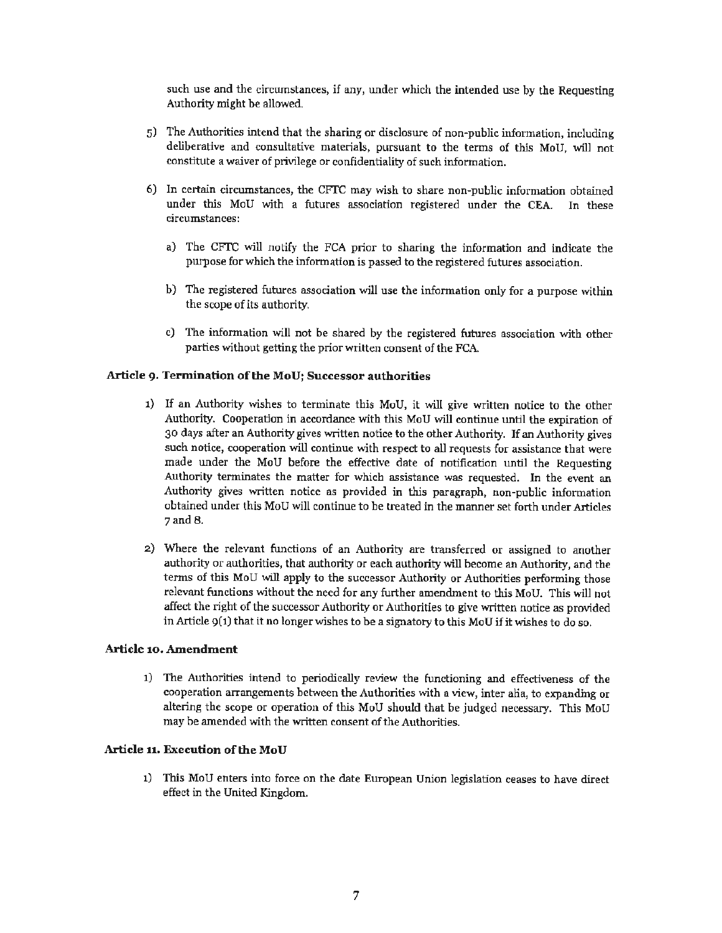such use and the circumstances, if any, under which the intended use by the Requesting Authority might be allowed.

- 5) The Authorities intend that the sharing or disclosure of non-public information, including deliberative and consultative materials, pursuant to the terms of this MoU, will not constitute a waiver of privilege or confidentiality of such information.
- 6) In certain circumstances, the CFTC may wish to share non-public information obtained under this MoU with a futures association registered under the CEA. In these circumstances:
	- a) The CFTC will notify the FCA prior to sharing the information and indicate the purpose for which the information is passed to the registered futures association.
	- b) The registered futures association will use the information only for a purpose within the scope of its authority.
	- c) The information will not be shared by the registered futures association with other parties without getting the prior written consent of the FCA.

### Article 9. **Termination of the MoU; Successor authorities**

- 1) If an Authority wishes to terminate this MoU, it will give written notice to the other Authority. Cooperation in accordance with this MoU will continue until the expiration of 30 days after an Authority gives written notice to the other Authority. If an Authority gives such notice, cooperation will continue with respect to all requests for assistance that were made under the MoU before the effective date of notification until the Requesting Authority terminates the matter for which assistance was requested. In the event an Authority gives written notice as provided in this paragraph, non-public information obtained under this MoU will continue to be treated in the manner set forth under Articles 7and 8.
- 2) Where the relevant functions of an Authority are transferred or assigned to another authority or authorities, that authority or each authority will become an Authority, and the terms of this MoU will apply to the successor Authority or Authorities performing those relevant functions without the need for any further amendment to this MoU. This will not affect the right of the successor Authority or Authorities to give written notice as provided in Article  $9(1)$  that it no longer wishes to be a signatory to this MoU if it wishes to do so.

#### **Article 10. Amendment**

1) The Authorities intend to periodically review the functioning and effectiveness of the cooperation arrangements between the Authorities with a view, inter alia, to expanding or altering the scope or operation of this MoU should that be judged necessary. This MoU may be amended with the written consent of the Authorities.

#### **Article 11. Execution of the MoU**

1) This MoU enters into force on the date European Union legislation ceases to have direct effect in the United Kingdom.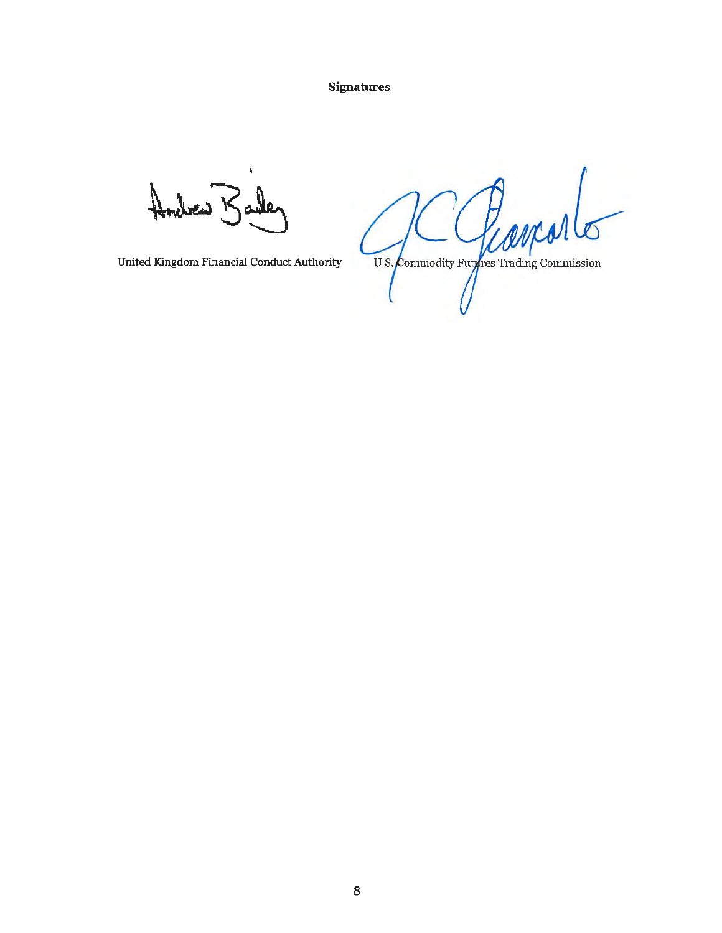**Signatures** 

Andrew Barler

United Kingdom Financial Conduct Authority

U.S. Commodity Furfres Trading Commission